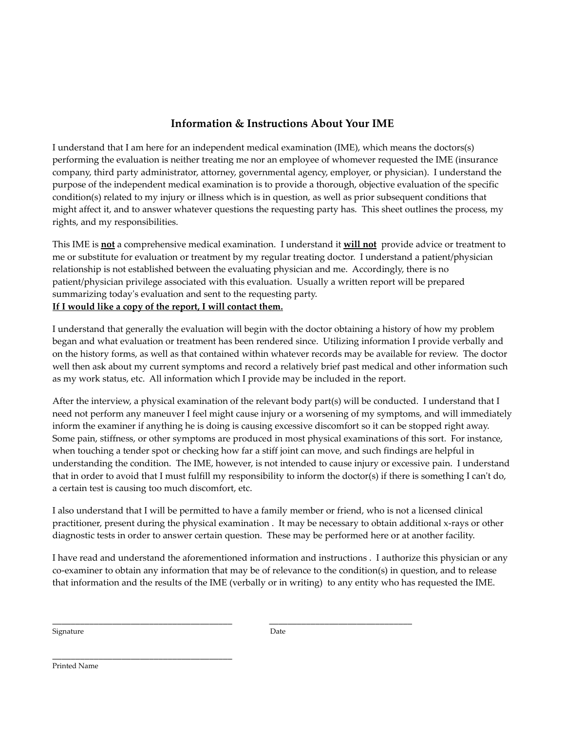## **Information & Instructions About Your IME**

I understand that I am here for an independent medical examination (IME), which means the doctors(s) performing the evaluation is neither treating me nor an employee of whomever requested the IME (insurance company, third party administrator, attorney, governmental agency, employer, or physician). I understand the purpose of the independent medical examination is to provide a thorough, objective evaluation of the specific condition(s) related to my injury or illness which is in question, as well as prior subsequent conditions that might affect it, and to answer whatever questions the requesting party has. This sheet outlines the process, my rights, and my responsibilities.

This IME is **not** a comprehensive medical examination. I understand it **will not** provide advice or treatment to me or substitute for evaluation or treatment by my regular treating doctor. I understand a patient/physician relationship is not established between the evaluating physician and me. Accordingly, there is no patient/physician privilege associated with this evaluation. Usually a written report will be prepared summarizing today's evaluation and sent to the requesting party. **If I would like a copy of the report, I will contact them.**

I understand that generally the evaluation will begin with the doctor obtaining a history of how my problem began and what evaluation or treatment has been rendered since. Utilizing information I provide verbally and on the history forms, as well as that contained within whatever records may be available for review. The doctor well then ask about my current symptoms and record a relatively brief past medical and other information such as my work status, etc. All information which I provide may be included in the report.

After the interview, a physical examination of the relevant body part(s) will be conducted. I understand that I need not perform any maneuver I feel might cause injury or a worsening of my symptoms, and will immediately inform the examiner if anything he is doing is causing excessive discomfort so it can be stopped right away. Some pain, stiffness, or other symptoms are produced in most physical examinations of this sort. For instance, when touching a tender spot or checking how far a stiff joint can move, and such findings are helpful in understanding the condition. The IME, however, is not intended to cause injury or excessive pain. I understand that in order to avoid that I must fulfill my responsibility to inform the doctor(s) if there is something I can't do, a certain test is causing too much discomfort, etc.

I also understand that I will be permitted to have a family member or friend, who is not a licensed clinical practitioner, present during the physical examination . It may be necessary to obtain additional x-rays or other diagnostic tests in order to answer certain question. These may be performed here or at another facility.

I have read and understand the aforementioned information and instructions . I authorize this physician or any co-examiner to obtain any information that may be of relevance to the condition(s) in question, and to release that information and the results of the IME (verbally or in writing) to any entity who has requested the IME.

Signature Date

\_\_\_\_\_\_\_\_\_\_\_\_\_\_\_\_\_\_\_\_\_\_\_\_\_\_\_\_\_\_\_\_\_\_\_\_\_\_\_ \_\_\_\_\_\_\_\_\_\_\_\_\_\_\_\_\_\_\_\_\_\_\_\_\_\_\_\_\_\_\_

Printed Name

\_\_\_\_\_\_\_\_\_\_\_\_\_\_\_\_\_\_\_\_\_\_\_\_\_\_\_\_\_\_\_\_\_\_\_\_\_\_\_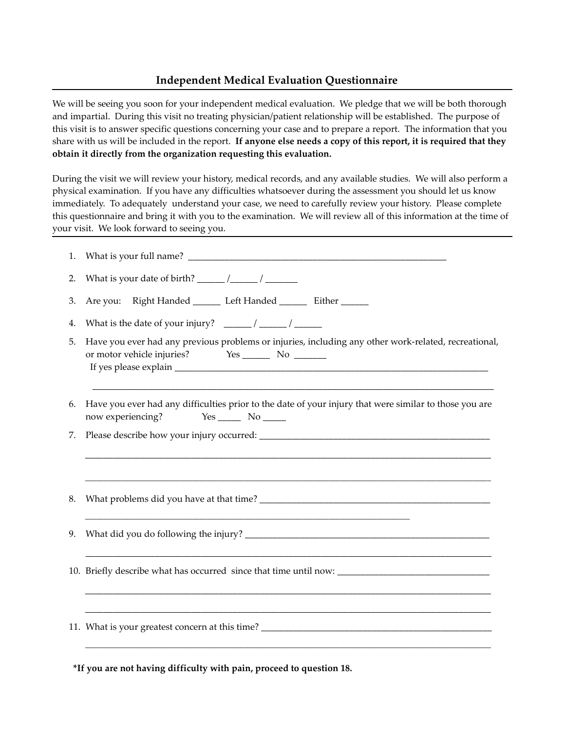## **Independent Medical Evaluation Questionnaire**

We will be seeing you soon for your independent medical evaluation. We pledge that we will be both thorough and impartial. During this visit no treating physician/patient relationship will be established. The purpose of this visit is to answer specific questions concerning your case and to prepare a report. The information that you share with us will be included in the report. **If anyone else needs a copy of this report, it is required that they obtain it directly from the organization requesting this evaluation.**

During the visit we will review your history, medical records, and any available studies. We will also perform a physical examination. If you have any difficulties whatsoever during the assessment you should let us know immediately. To adequately understand your case, we need to carefully review your history. Please complete this questionnaire and bring it with you to the examination. We will review all of this information at the time of your visit. We look forward to seeing you.

| 1. |                                                                                                                                                                                                                          |
|----|--------------------------------------------------------------------------------------------------------------------------------------------------------------------------------------------------------------------------|
| 2. |                                                                                                                                                                                                                          |
| 3. | Are you: Right Handed ________ Left Handed _________ Either _______                                                                                                                                                      |
| 4. |                                                                                                                                                                                                                          |
| 5. | Have you ever had any previous problems or injuries, including any other work-related, recreational,                                                                                                                     |
| 6. | Have you ever had any difficulties prior to the date of your injury that were similar to those you are<br>now experiencing?                                                                                              |
| 7. |                                                                                                                                                                                                                          |
| 8. |                                                                                                                                                                                                                          |
| 9. |                                                                                                                                                                                                                          |
|    | and the control of the control of the control of the control of the control of the control of the control of the<br>10. Briefly describe what has occurred since that time until now: __________________________________ |
|    |                                                                                                                                                                                                                          |

**\*If you are not having difficulty with pain, proceed to question 18.**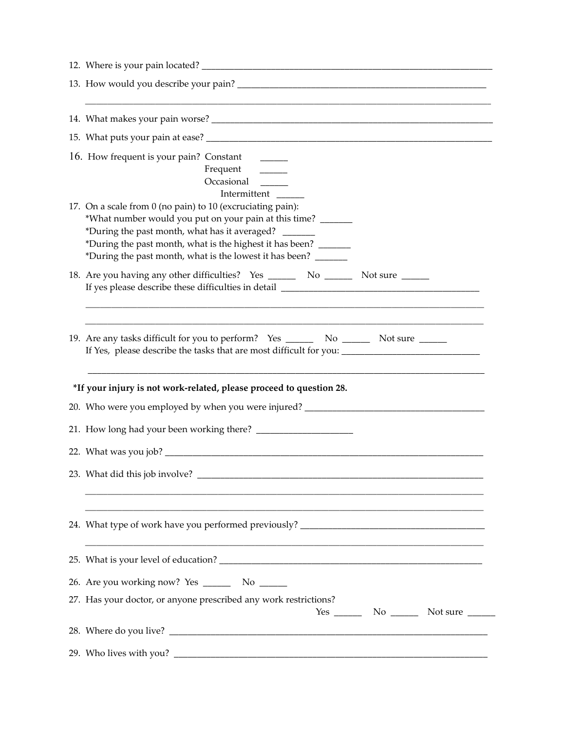| 16. How frequent is your pain? Constant<br>Frequent<br>$\mathcal{L}^{\text{max}}$ and $\mathcal{L}^{\text{max}}$<br>Occasional <sub>_____</sub><br>Intermittent                                                                                                                                                           |
|---------------------------------------------------------------------------------------------------------------------------------------------------------------------------------------------------------------------------------------------------------------------------------------------------------------------------|
| 17. On a scale from 0 (no pain) to 10 (excruciating pain):<br>*What number would you put on your pain at this time? _______<br>*During the past month, what has it averaged? _______<br>*During the past month, what is the highest it has been? ______<br>*During the past month, what is the lowest it has been? ______ |
| 18. Are you having any other difficulties? Yes _________ No _________ Not sure _______                                                                                                                                                                                                                                    |
| 19. Are any tasks difficult for you to perform? Yes _________ No _________ Not sure _______                                                                                                                                                                                                                               |
| *If your injury is not work-related, please proceed to question 28.                                                                                                                                                                                                                                                       |
| 20. Who were you employed by when you were injured? ____________________________                                                                                                                                                                                                                                          |
|                                                                                                                                                                                                                                                                                                                           |
|                                                                                                                                                                                                                                                                                                                           |
| 23. What did this job involve?                                                                                                                                                                                                                                                                                            |
|                                                                                                                                                                                                                                                                                                                           |
|                                                                                                                                                                                                                                                                                                                           |
| 26. Are you working now? Yes _________ No _______                                                                                                                                                                                                                                                                         |
| 27. Has your doctor, or anyone prescribed any work restrictions?<br>$Yes \_\_\_\_\_$ No $\_\_\_\_\$ Not sure $\_\_\_\_\_\_\$                                                                                                                                                                                              |
|                                                                                                                                                                                                                                                                                                                           |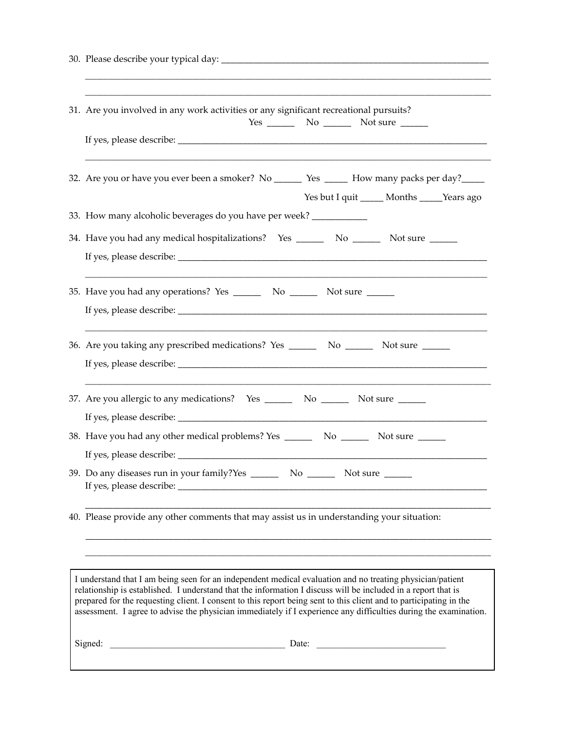|  | 31. Are you involved in any work activities or any significant recreational pursuits?<br>$Yes \_\_\_\_\_$ No $\_\_\_\_\$ Not sure $\_\_\_\_\_\_\_\$                                                                                                                                                                                                                                                                                                                  |
|--|----------------------------------------------------------------------------------------------------------------------------------------------------------------------------------------------------------------------------------------------------------------------------------------------------------------------------------------------------------------------------------------------------------------------------------------------------------------------|
|  |                                                                                                                                                                                                                                                                                                                                                                                                                                                                      |
|  | 32. Are you or have you ever been a smoker? No ________ Yes _______ How many packs per day?______                                                                                                                                                                                                                                                                                                                                                                    |
|  | Yes but I quit ______ Months _____Years ago<br>33. How many alcoholic beverages do you have per week? ___________                                                                                                                                                                                                                                                                                                                                                    |
|  | 34. Have you had any medical hospitalizations? Yes ________ No _______ Not sure ______                                                                                                                                                                                                                                                                                                                                                                               |
|  |                                                                                                                                                                                                                                                                                                                                                                                                                                                                      |
|  |                                                                                                                                                                                                                                                                                                                                                                                                                                                                      |
|  | 37. Are you allergic to any medications? Yes _________ No _________ Not sure _______                                                                                                                                                                                                                                                                                                                                                                                 |
|  |                                                                                                                                                                                                                                                                                                                                                                                                                                                                      |
|  | 39. Do any diseases run in your family?Yes _________ No _________ Not sure ______                                                                                                                                                                                                                                                                                                                                                                                    |
|  | 40. Please provide any other comments that may assist us in understanding your situation:                                                                                                                                                                                                                                                                                                                                                                            |
|  |                                                                                                                                                                                                                                                                                                                                                                                                                                                                      |
|  | I understand that I am being seen for an independent medical evaluation and no treating physician/patient<br>relationship is established. I understand that the information I discuss will be included in a report that is<br>prepared for the requesting client. I consent to this report being sent to this client and to participating in the<br>assessment. I agree to advise the physician immediately if I experience any difficulties during the examination. |
|  | Signed: Date: Date: Date: Date: Date: 2014                                                                                                                                                                                                                                                                                                                                                                                                                           |